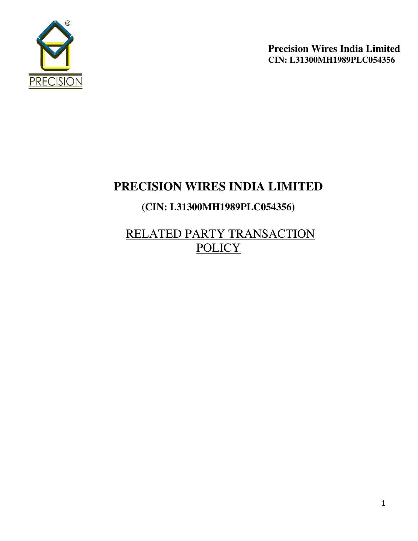

# **PRECISION WIRES INDIA LIMITED**

# **(CIN: L31300MH1989PLC054356)**

RELATED PARTY TRANSACTION **POLICY**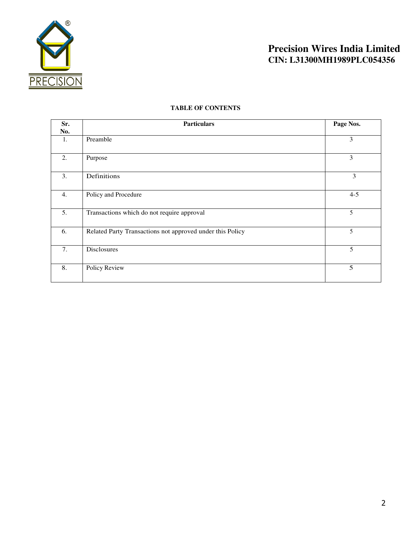

### **TABLE OF CONTENTS**

| Sr.<br>No. | <b>Particulars</b>                                        | Page Nos. |
|------------|-----------------------------------------------------------|-----------|
| 1.         | Preamble                                                  | 3         |
| 2.         | Purpose                                                   | 3         |
| 3.         | Definitions                                               | 3         |
| 4.         | Policy and Procedure                                      | $4 - 5$   |
| 5.         | Transactions which do not require approval                | 5         |
| 6.         | Related Party Transactions not approved under this Policy | 5         |
| 7.         | <b>Disclosures</b>                                        | 5         |
| 8.         | Policy Review                                             | 5         |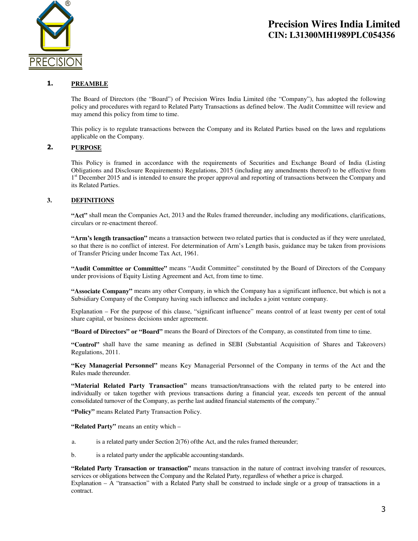

#### 1. **PREAMBLE**

The Board of Directors (the "Board") of Precision Wires India Limited (the "Company"), has adopted the following policy and procedures with regard to Related Party Transactions as defined below. The Audit Committee will review and may amend this policy from time to time.

This policy is to regulate transactions between the Company and its Related Parties based on the laws and regulations applicable on the Company.

### **2. P URPOSE**

This Policy is framed in accordance with the requirements of Securities and Exchange Board of India (Listing Obligations and Disclosure Requirements) Regulations, 2015 (including any amendments thereof) to be effective from 1<sup>st</sup> December 2015 and is intended to ensure the proper approval and reporting of transactions between the Company and its Related Parties.

#### **3. DEFINITIONS**

**"Act"** shall mean the Companies Act, 2013 and the Rules framed thereunder, including any modifications, clarifications, circulars or re-enactment thereof.

**"Arm's length transaction"** means a transaction between two related parties that is conducted as if they were unrelated, so that there is no conflict of interest. For determination of Arm's Length basis, guidance may be taken from provisions of Transfer Pricing under Income Tax Act, 1961.

**"Audit Committee or Committee"** means "Audit Committee" constituted by the Board of Directors of the Company under provisions of Equity Listing Agreement and Act, from time to time.

**"Associate Company"** means any other Company, in which the Company has a significant influence, but which is not a Subsidiary Company of the Company having such influence and includes a joint venture company.

Explanation – For the purpose of this clause, "significant influence" means control of at least twenty per cent of total share capital, or business decisions under agreement.

**"Board of Directors" or "Board"** means the Board of Directors of the Company, as constituted from time to time.

**"Control"** shall have the same meaning as defined in SEBI (Substantial Acquisition of Shares and Takeovers) Regulations, 2011.

**"Key Managerial Personnel"** means Key Managerial Personnel of the Company in terms of the Act and the Rules made thereunder.

**"Material Related Party Transaction"** means transaction/transactions with the related party to be entered into individually or taken together with previous transactions during a financial year, exceeds ten percent of the annual consolidated turnover of the Company, as perthe last audited financial statements of the company."

**"Policy"** means Related Party Transaction Policy.

**"Related Party"** means an entity which –

- a. is a related party under Section 2(76) of the Act, and the rules framed thereunder;
- b. is a related party under the applicable accounting standards.

**"Related Party Transaction or transaction"** means transaction in the nature of contract involving transfer of resources, services or obligations between the Company and the Related Party, regardless of whether a price is charged. Explanation – A "transaction" with a Related Party shall be construed to include single or a group of transactions in a contract.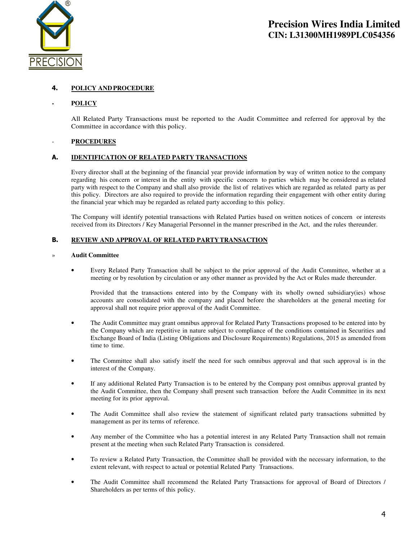

### **4. P OLICY AND PROCEDURE**

#### **- P OLICY**

All Related Party Transactions must be reported to the Audit Committee and referred for approval by the Committee in accordance with this policy.

#### - **P ROCEDURES**

#### **A. IDENTIFICATION OF RELATED PARTY TRANSACTIONS**

Every director shall at the beginning of the financial year provide information by way of written notice to the company regarding his concern or interest in the entity with specific concern to parties which may be considered as related party with respect to the Company and shall also provide the list of relatives which are regarded as related party as per this policy. Directors are also required to provide the information regarding their engagement with other entity during the financial year which may be regarded as related party according to this policy.

The Company will identify potential transactions with Related Parties based on written notices of concern or interests received from its Directors / Key Managerial Personnel in the manner prescribed in the Act, and the rules thereunder.

#### **B. REVIEW AND APPROVAL OF RELATED PARTY TRANSACTION**

#### » **Audit Committee**

• Every Related Party Transaction shall be subject to the prior approval of the Audit Committee, whether at a meeting or by resolution by circulation or any other manner as provided by the Act or Rules made thereunder.

Provided that the transactions entered into by the Company with its wholly owned subsidiary(ies) whose accounts are consolidated with the company and placed before the shareholders at the general meeting for approval shall not require prior approval of the Audit Committee.

- The Audit Committee may grant omnibus approval for Related Party Transactions proposed to be entered into by the Company which are repetitive in nature subject to compliance of the conditions contained in Securities and Exchange Board of India (Listing Obligations and Disclosure Requirements) Regulations, 2015 as amended from time to time.
- The Committee shall also satisfy itself the need for such omnibus approval and that such approval is in the interest of the Company.
- If any additional Related Party Transaction is to be entered by the Company post omnibus approval granted by the Audit Committee, then the Company shall present such transaction before the Audit Committee in its next meeting for its prior approval.
- The Audit Committee shall also review the statement of significant related party transactions submitted by management as per its terms of reference.
- Any member of the Committee who has a potential interest in any Related Party Transaction shall not remain present at the meeting when such Related Party Transaction is considered.
- To review a Related Party Transaction, the Committee shall be provided with the necessary information, to the extent relevant, with respect to actual or potential Related Party Transactions.
- The Audit Committee shall recommend the Related Party Transactions for approval of Board of Directors / Shareholders as per terms of this policy.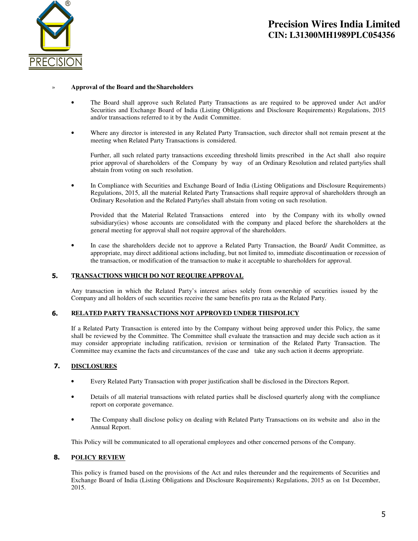

#### » **Approval of the Board and the Shareholders**

- The Board shall approve such Related Party Transactions as are required to be approved under Act and/or Securities and Exchange Board of India (Listing Obligations and Disclosure Requirements) Regulations, 2015 and/or transactions referred to it by the Audit Committee.
- Where any director is interested in any Related Party Transaction, such director shall not remain present at the meeting when Related Party Transactions is considered.

Further, all such related party transactions exceeding threshold limits prescribed in the Act shall also require prior approval of shareholders of the Company by way of an Ordinary Resolution and related party/ies shall abstain from voting on such resolution.

• In Compliance with Securities and Exchange Board of India (Listing Obligations and Disclosure Requirements) Regulations, 2015, all the material Related Party Transactions shall require approval of shareholders through an Ordinary Resolution and the Related Party/ies shall abstain from voting on such resolution.

Provided that the Material Related Transactions entered into by the Company with its wholly owned subsidiary(ies) whose accounts are consolidated with the company and placed before the shareholders at the general meeting for approval shall not require approval of the shareholders.

• In case the shareholders decide not to approve a Related Party Transaction, the Board/ Audit Committee, as appropriate, may direct additional actions including, but not limited to, immediate discontinuation or recession of the transaction, or modification of the transaction to make it acceptable to shareholders for approval.

#### **5. TRANSACTIONS WHICH DO NOT REQUIRE APPROVAL**

Any transaction in which the Related Party's interest arises solely from ownership of securities issued by the Company and all holders of such securities receive the same benefits pro rata as the Related Party.

#### **6. R ELATED PARTY TRANSACTIONS NOT APPROVED UNDER THIS POLICY**

If a Related Party Transaction is entered into by the Company without being approved under this Policy, the same shall be reviewed by the Committee. The Committee shall evaluate the transaction and may decide such action as it may consider appropriate including ratification, revision or termination of the Related Party Transaction. The Committee may examine the facts and circumstances of the case and take any such action it deems appropriate.

#### **7. DISCLOSURES**

- Every Related Party Transaction with proper justification shall be disclosed in the Directors Report.
- Details of all material transactions with related parties shall be disclosed quarterly along with the compliance report on corporate governance.
- The Company shall disclose policy on dealing with Related Party Transactions on its website and also in the Annual Report.

This Policy will be communicated to all operational employees and other concerned persons of the Company.

#### 8. **POLICY REVIEW**

This policy is framed based on the provisions of the Act and rules thereunder and the requirements of Securities and Exchange Board of India (Listing Obligations and Disclosure Requirements) Regulations, 2015 as on 1st December, 2015.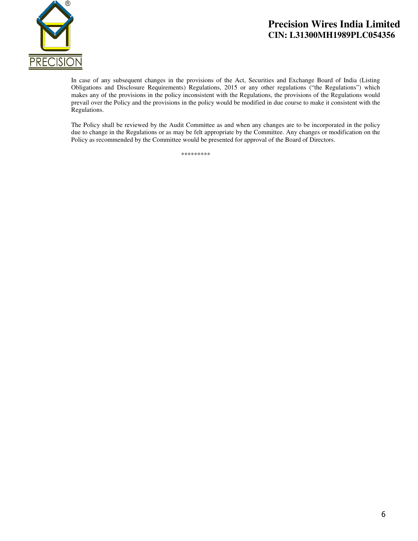

In case of any subsequent changes in the provisions of the Act, Securities and Exchange Board of India (Listing Obligations and Disclosure Requirements) Regulations, 2015 or any other regulations ("the Regulations") which makes any of the provisions in the policy inconsistent with the Regulations, the provisions of the Regulations would prevail over the Policy and the provisions in the policy would be modified in due course to make it consistent with the Regulations.

The Policy shall be reviewed by the Audit Committee as and when any changes are to be incorporated in the policy due to change in the Regulations or as may be felt appropriate by the Committee. Any changes or modification on the Policy as recommended by the Committee would be presented for approval of the Board of Directors.

\*\*\*\*\*\*\*\*\*